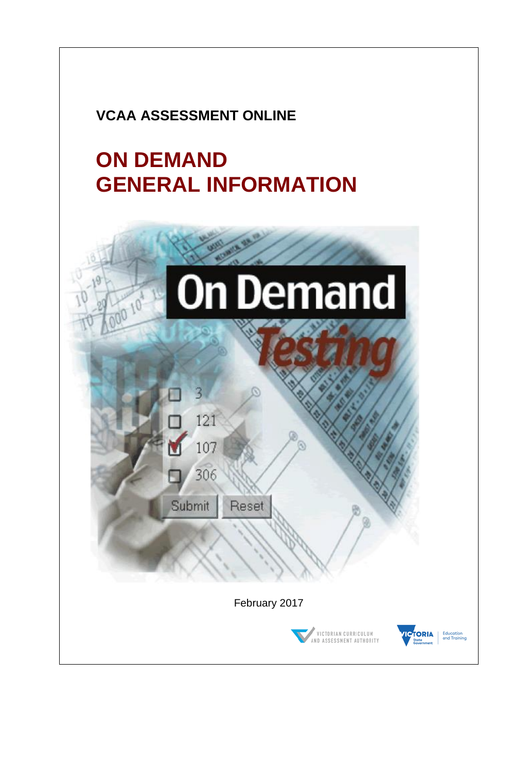# **VCAA ASSESSMENT ONLINE**

# **ON DEMAND GENERAL INFORMATION**

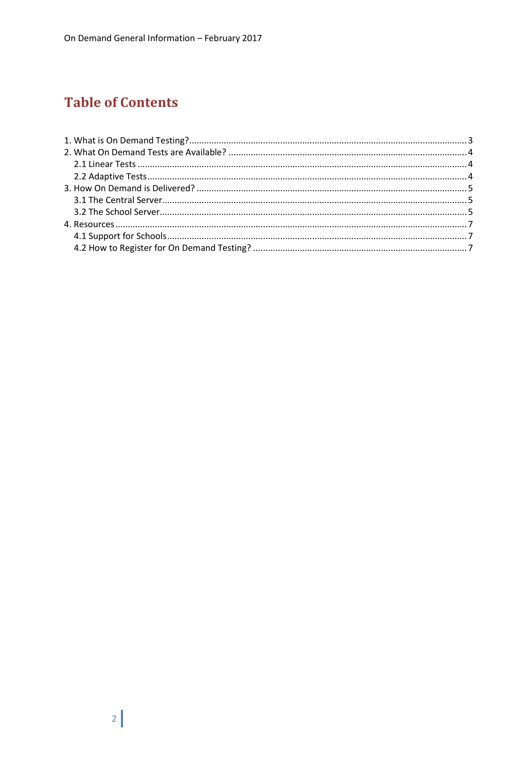# **Table of Contents**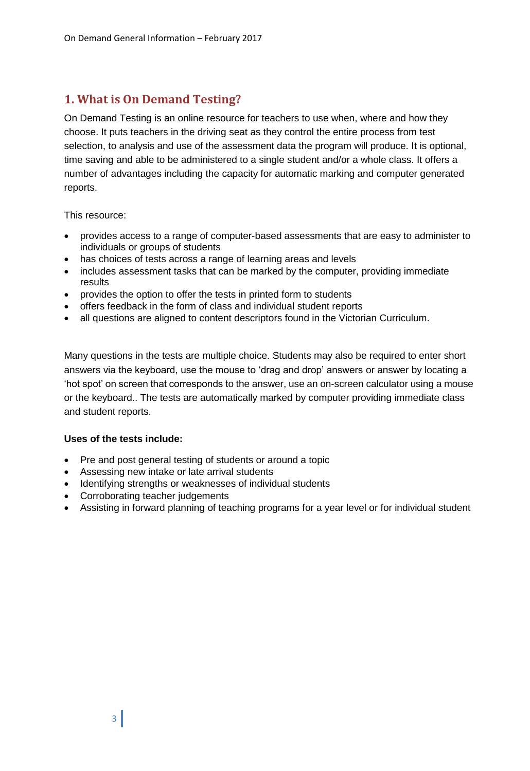# <span id="page-2-0"></span>**1. What is On Demand Testing?**

On Demand Testing is an online resource for teachers to use when, where and how they choose. It puts teachers in the driving seat as they control the entire process from test selection, to analysis and use of the assessment data the program will produce. It is optional, time saving and able to be administered to a single student and/or a whole class. It offers a number of advantages including the capacity for automatic marking and computer generated reports.

This resource:

- provides access to a range of computer-based assessments that are easy to administer to individuals or groups of students
- has choices of tests across a range of learning areas and levels
- includes assessment tasks that can be marked by the computer, providing immediate results
- provides the option to offer the tests in printed form to students
- offers feedback in the form of class and individual student reports
- all questions are aligned to content descriptors found in the Victorian Curriculum.

Many questions in the tests are multiple choice. Students may also be required to enter short answers via the keyboard, use the mouse to 'drag and drop' answers or answer by locating a 'hot spot' on screen that corresponds to the answer, use an on-screen calculator using a mouse or the keyboard.. The tests are automatically marked by computer providing immediate class and student reports.

#### **Uses of the tests include:**

- Pre and post general testing of students or around a topic
- Assessing new intake or late arrival students
- Identifying strengths or weaknesses of individual students
- Corroborating teacher judgements
- Assisting in forward planning of teaching programs for a year level or for individual student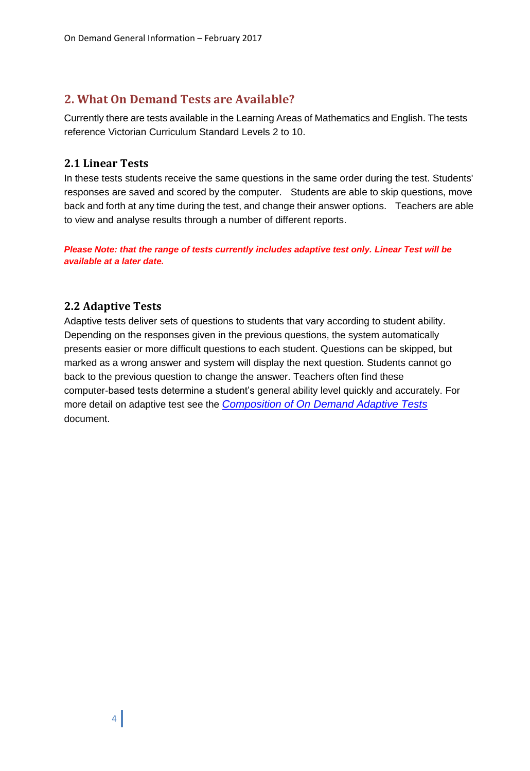# <span id="page-3-0"></span>**2. What On Demand Tests are Available?**

Currently there are tests available in the Learning Areas of Mathematics and English. The tests reference Victorian Curriculum Standard Levels 2 to 10.

#### <span id="page-3-1"></span>**2.1 Linear Tests**

In these tests students receive the same questions in the same order during the test. Students' responses are saved and scored by the computer. Students are able to skip questions, move back and forth at any time during the test, and change their answer options. Teachers are able to view and analyse results through a number of different reports.

*Please Note: that the range of tests currently includes adaptive test only. Linear Test will be available at a later date.*

### <span id="page-3-2"></span>**2.2 Adaptive Tests**

Adaptive tests deliver sets of questions to students that vary according to student ability. Depending on the responses given in the previous questions, the system automatically presents easier or more difficult questions to each student. Questions can be skipped, but marked as a wrong answer and system will display the next question. Students cannot go back to the previous question to change the answer. Teachers often find these computer-based tests determine a student's general ability level quickly and accurately. For more detail on adaptive test see the *[Composition of On Demand Adaptive Tests](http://www.vcaa.vic.edu.au/Documents/ondemand/adaptive_odtests.pdf)* document.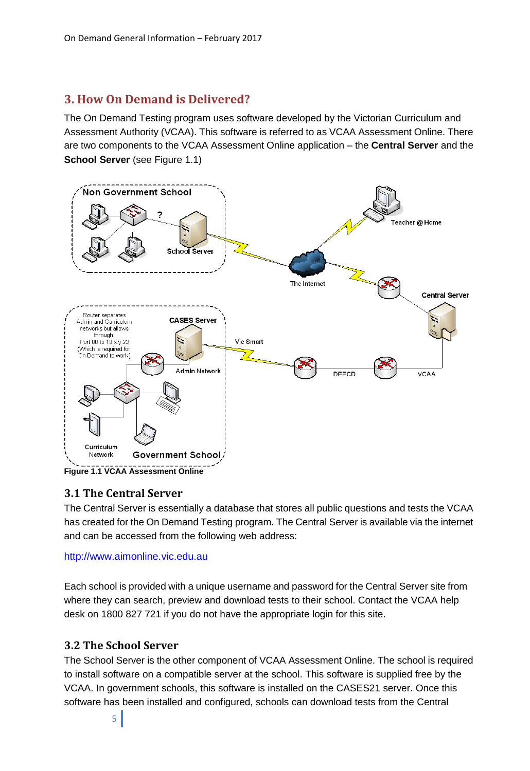## <span id="page-4-0"></span>**3. How On Demand is Delivered?**

The On Demand Testing program uses software developed by the Victorian Curriculum and Assessment Authority (VCAA). This software is referred to as VCAA Assessment Online. There are two components to the VCAA Assessment Online application – the **Central Server** and the **School Server** (see Figure 1.1)



**Figure 1.1 VCAA Assessment Online**

#### <span id="page-4-1"></span>**3.1 The Central Server**

The Central Server is essentially a database that stores all public questions and tests the VCAA has created for the On Demand Testing program. The Central Server is available via the internet and can be accessed from the following web address:

#### http://www.aimonline.vic.edu.au

Each school is provided with a unique username and password for the Central Server site from where they can search, preview and download tests to their school. Contact the VCAA help desk on 1800 827 721 if you do not have the appropriate login for this site.

#### <span id="page-4-2"></span>**3.2 The School Server**

The School Server is the other component of VCAA Assessment Online. The school is required to install software on a compatible server at the school. This software is supplied free by the VCAA. In government schools, this software is installed on the CASES21 server. Once this software has been installed and configured, schools can download tests from the Central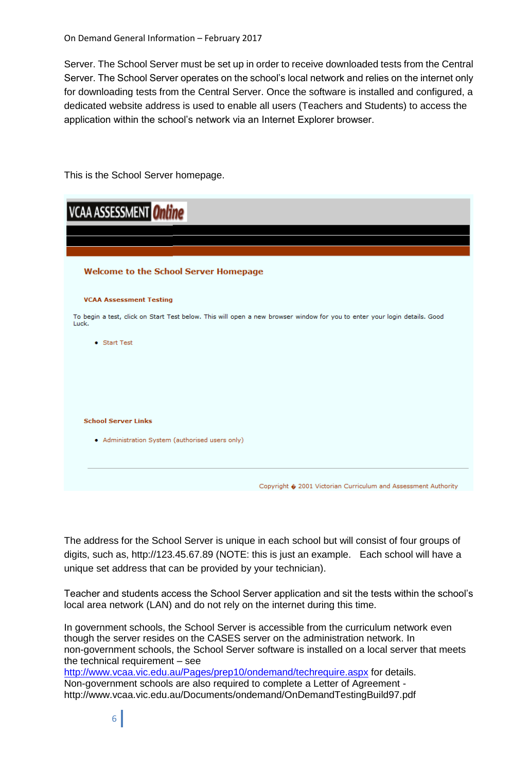Server. The School Server must be set up in order to receive downloaded tests from the Central Server. The School Server operates on the school's local network and relies on the internet only for downloading tests from the Central Server. Once the software is installed and configured, a dedicated website address is used to enable all users (Teachers and Students) to access the application within the school's network via an Internet Explorer browser.

This is the School Server homepage.

| <b>VCAA ASSESSMENT</b> Online                                                                                                      |  |
|------------------------------------------------------------------------------------------------------------------------------------|--|
|                                                                                                                                    |  |
|                                                                                                                                    |  |
| <b>Welcome to the School Server Homepage</b>                                                                                       |  |
| <b>VCAA Assessment Testing</b>                                                                                                     |  |
| To begin a test, click on Start Test below. This will open a new browser window for you to enter your login details. Good<br>Luck. |  |
| • Start Test                                                                                                                       |  |
|                                                                                                                                    |  |
|                                                                                                                                    |  |
|                                                                                                                                    |  |
| <b>School Server Links</b>                                                                                                         |  |
| • Administration System (authorised users only)                                                                                    |  |
| Copyright $\hat{\mathbf{v}}$ 2001 Victorian Curriculum and Assessment Authority                                                    |  |

The address for the School Server is unique in each school but will consist of four groups of digits, such as, http://123.45.67.89 (NOTE: this is just an example. Each school will have a unique set address that can be provided by your technician).

Teacher and students access the School Server application and sit the tests within the school's local area network (LAN) and do not rely on the internet during this time.

In government schools, the School Server is accessible from the curriculum network even though the server resides on the CASES server on the administration network. In non-government schools, the School Server software is installed on a local server that meets the technical requirement – see <http://www.vcaa.vic.edu.au/Pages/prep10/ondemand/techrequire.aspx> for details.

Non-government schools are also required to complete a Letter of Agreement http://www.vcaa.vic.edu.au/Documents/ondemand/OnDemandTestingBuild97.pdf